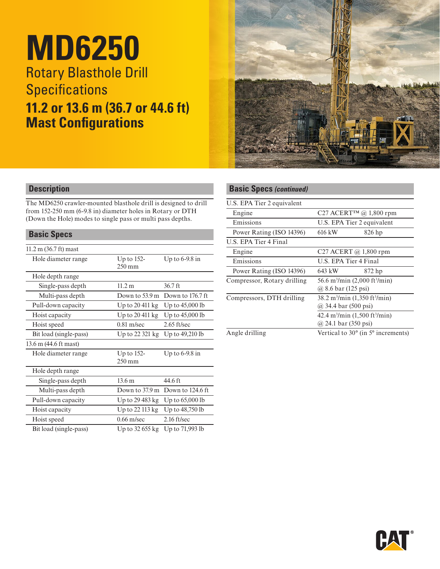# **MD6250** Rotary Blasthole Drill **Specifications 11.2 or 13.6 m (36.7 or 44.6 ft) Mast Configurations**



## **Description**

The MD6250 crawler-mounted blasthole drill is designed to drill from 152-250 mm (6-9.8 in) diameter holes in Rotary or DTH (Down the Hole) modes to single pass or multi pass depths.

## **Basic Specs**

| $11.2 \text{ m}$ (36.7 ft) mast |                                   |                  |
|---------------------------------|-----------------------------------|------------------|
| Hole diameter range             | Up to $152$ -<br>$250 \text{ mm}$ | Up to $6-9.8$ in |
| Hole depth range                |                                   |                  |
| Single-pass depth               | 11.2 m                            | 36.7 ft          |
| Multi-pass depth                | Down to 53.9 m                    | Down to 176.7 ft |
| Pull-down capacity              | Up to $20\,411\,\mathrm{kg}$      | Up to 45,000 lb  |
| Hoist capacity                  | Up to 20 411 kg                   | Up to 45,000 lb  |
| Hoist speed                     | $0.81$ m/sec                      | $2.65$ ft/sec    |
| Bit load (single-pass)          | Up to 22 321 kg                   | Up to 49,210 lb  |
| 13.6 m (44.6 ft mast)           |                                   |                  |
| Hole diameter range             | Up to $152$ -<br>$250 \text{ mm}$ | Up to $6-9.8$ in |
| Hole depth range                |                                   |                  |
| Single-pass depth               | 13.6 <sub>m</sub>                 | 44.6 ft          |
| Multi-pass depth                | Down to $37.9 \text{ m}$          | Down to 124.6 ft |
| Pull-down capacity              | Up to $29\,483\,\mathrm{kg}$      | Up to 65,000 lb  |
| Hoist capacity                  | Up to 22 113 kg                   | Up to 48,750 lb  |
| Hoist speed                     | $0.66$ m/sec                      | $2.16$ ft/sec    |
| Bit load (single-pass)          | Up to 32 655 kg                   | Up to 71,993 lb  |

## **Basic Specs** *(continued)*

| U.S. EPA Tier 2 equivalent  |                                                                                             |  |  |
|-----------------------------|---------------------------------------------------------------------------------------------|--|--|
| Engine                      | C27 ACERT <sup>TM</sup> @ 1,800 rpm                                                         |  |  |
| Emissions                   | U.S. EPA Tier 2 equivalent                                                                  |  |  |
| Power Rating (ISO 14396)    | 616 kW<br>826 hp                                                                            |  |  |
| U.S. EPA Tier 4 Final       |                                                                                             |  |  |
| Engine                      | C <sub>27</sub> ACERT @ $1,800$ rpm                                                         |  |  |
| Emissions                   | U.S. EPA Tier 4 Final                                                                       |  |  |
| Power Rating (ISO 14396)    | 872 hp<br>643 kW                                                                            |  |  |
| Compressor, Rotary drilling | 56.6 m <sup>3</sup> /min (2,000 ft <sup>3</sup> /min)<br>@ 8.6 bar (125 psi)                |  |  |
| Compressors, DTH drilling   | $38.2 \text{ m}^3/\text{min}$ (1,350 ft <sup>3</sup> /min)<br>@ 34.4 bar (500 psi)          |  |  |
|                             | $42.4 \text{ m}^3/\text{min}$ (1,500 ft $^3/\text{min}$ )<br>@ 24.1 bar $(350 \text{ psi})$ |  |  |
| Angle drilling              | Vertical to $30^{\circ}$ (in $5^{\circ}$ increments)                                        |  |  |

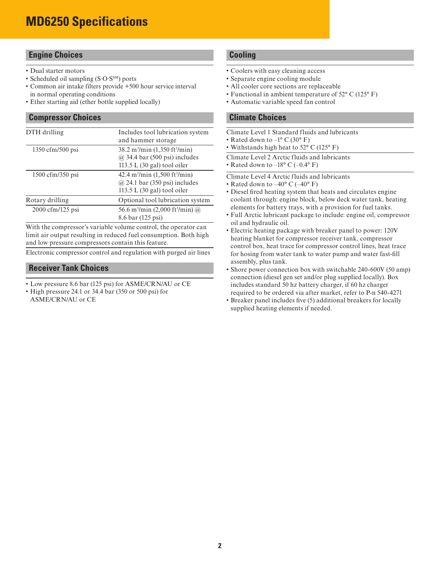## **Engine Choices**

- Dual starter motors
- Scheduled oil sampling (S·O·S<sup>SM</sup>) ports
- Common air intake filters provide +500 hour service interval in normal operating conditions
- Ether starting aid (ether bottle supplied locally)

#### **Compressor Choices**

| DTH drilling                      | Includes tool lubrication system<br>and hammer storage                                                                                   |
|-----------------------------------|------------------------------------------------------------------------------------------------------------------------------------------|
| $1350 \text{ cfm}/500 \text{psi}$ | $38.2 \text{ m}^3/\text{min}$ (1,350 ft <sup>3</sup> /min)<br>$(a)$ 34.4 bar (500 psi) includes<br>113.5 L $(30 \text{ gal})$ tool oiler |
| $1500 \text{ cfm}/350 \text{psi}$ | $42.4 \text{ m}^3/\text{min}$ (1,500 ft $^3/\text{min}$ )<br>$(a)$ 24.1 bar (350 psi) includes<br>113.5 L $(30 \text{ gal})$ tool oiler  |
| Rotary drilling                   | Optional tool lubrication system                                                                                                         |
| 2000 cfm/125 psi                  | 56.6 m <sup>3</sup> /min (2,000 ft <sup>3</sup> /min) @<br>8.6 bar (125 psi)                                                             |

With the compressor's variable volume control, the operator can limit air output resulting in reduced fuel consumption. Both high and low pressure compressors contain this feature.

Electronic compressor control and regulation with purged air lines

## **Receiver Tank Choices**

- Low pressure 8.6 bar (125 psi) for ASME/CRN/AU or CE
- High pressure 24.1 or 34.4 bar (350 or 500 psi) for ASME/CRN/AU or CE

## **Cooling**

- Coolers with easy cleaning access
- Separate engine cooling module
- All cooler core sections are replaceable
- Functional in ambient temperature of 52° C (125° F)
- Automatic variable speed fan control

## **Climate Choices**

| Climate Level 1 Standard fluids and lubricants |  |  |  |
|------------------------------------------------|--|--|--|
|                                                |  |  |  |

- Rated down to  $-1^{\circ}$  C (30° F) • Withstands high heat to 52° C (125° F)
- 
- Climate Level 2 Arctic fluids and lubricants

• Rated down to  $-18^{\circ}$  C ( $-0.4^{\circ}$  F)

Climate Level 4 Arctic fluids and lubricants

- Rated down to  $-40^{\circ}$  C ( $-40^{\circ}$  F)
- Diesel fired heating system that heats and circulates engine coolant through: engine block, below deck water tank, heating elements for battery trays, with a provision for fuel tanks.
- Full Arctic lubricant package to include: engine oil, compressor oil and hydraulic oil.
- Electric heating package with breaker panel to power: 120V heating blanket for compressor receiver tank, compressor control box, heat trace for compressor control lines, heat trace for hosing from water tank to water pump and water fast-fill assembly, plus tank.
- Shore power connection box with switchable 240-600V (50 amp) connection (diesel gen set and/or plug supplied locally). Box includes standard 50 hz battery charger, if 60 hz charger required to be ordered via after market, refer to P-n 540-4271
- Breaker panel includes five (5) additional breakers for locally supplied heating elements if needed.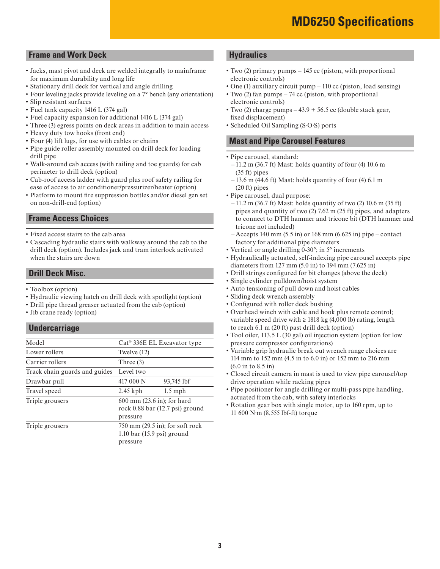## **Frame and Work Deck**

- Jacks, mast pivot and deck are welded integrally to mainframe for maximum durability and long life
- Stationary drill deck for vertical and angle drilling
- Four leveling jacks provide leveling on a 7° bench (any orientation)
- Slip resistant surfaces
- Fuel tank capacity 1416 L (374 gal)
- Fuel capacity expansion for additional 1416 L (374 gal)
- Three (3) egress points on deck areas in addition to main access
- Heavy duty tow hooks (front end)
- Four (4) lift lugs, for use with cables or chains
- Pipe guide roller assembly mounted on drill deck for loading drill pipe
- Walk-around cab access (with railing and toe guards) for cab perimeter to drill deck (option)
- Cab-roof access ladder with guard plus roof safety railing for ease of access to air conditioner/pressurizer/heater (option)
- Platform to mount fire suppression bottles and/or diesel gen set on non-drill-end (option)

## **Frame Access Choices**

- Fixed access stairs to the cab area
- Cascading hydraulic stairs with walkway around the cab to the drill deck (option). Includes jack and tram interlock activated when the stairs are down

## **Drill Deck Misc.**

- Toolbox (option)
- Hydraulic viewing hatch on drill deck with spotlight (option)
- Drill pipe thread greaser actuated from the cab (option)
- Jib crane ready (option)

## **Undercarriage**

| Model                         | $Cat^{\circledR}$ 336E EL Excavator type                                              |  |  |
|-------------------------------|---------------------------------------------------------------------------------------|--|--|
| Lower rollers                 | Twelve (12)                                                                           |  |  |
| Carrier rollers               | Three $(3)$                                                                           |  |  |
| Track chain guards and guides | Level two                                                                             |  |  |
| Drawbar pull                  | 417 000 N<br>93,745 lbf                                                               |  |  |
| Travel speed                  | $2.45$ kph<br>$1.5$ mph                                                               |  |  |
| Triple grousers               | 600 mm (23.6 in); for hard<br>rock 0.88 bar (12.7 psi) ground<br>pressure             |  |  |
| Triple grousers               | $750 \text{ mm}$ (29.5 in); for soft rock<br>$1.10$ bar (15.9 psi) ground<br>pressure |  |  |

## **Hydraulics**

- Two (2) primary pumps 145 cc (piston, with proportional electronic controls)
- One (1) auxiliary circuit pump 110 cc (piston, load sensing)
- Two (2) fan pumps 74 cc (piston, with proportional electronic controls)
- Two (2) charge pumps  $-43.9 + 56.5$  cc (double stack gear, fixed displacement)
- Scheduled Oil Sampling (S·O·S) ports

## **Mast and Pipe Carousel Features**

- Pipe carousel, standard:
	- $-11.2$  m (36.7 ft) Mast: holds quantity of four (4) 10.6 m (35 ft) pipes
	- $-13.6$  m (44.6 ft) Mast: holds quantity of four (4) 6.1 m (20 ft) pipes
- Pipe carousel, dual purpose:
- $-11.2$  m (36.7 ft) Mast: holds quantity of two (2) 10.6 m (35 ft) pipes and quantity of two (2) 7.62 m (25 ft) pipes, and adapters to connect to DTH hammer and tricone bit (DTH hammer and tricone not included)
- $-$  Accepts 140 mm (5.5 in) or 168 mm (6.625 in) pipe contact factory for additional pipe diameters
- Vertical or angle drilling 0-30°; in 5° increments
- Hydraulically actuated, self-indexing pipe carousel accepts pipe diameters from 127 mm (5.0 in) to 194 mm (7.625 in)
- Drill strings configured for bit changes (above the deck)
- Single cylinder pulldown/hoist system
- Auto tensioning of pull down and hoist cables
- Sliding deck wrench assembly
- Configured with roller deck bushing
- Overhead winch with cable and hook plus remote control; variable speed drive with  $\geq$  1818 kg (4,000 lb) rating, length to reach 6.1 m (20 ft) past drill deck (option)
- Tool oiler, 113.5 L (30 gal) oil injection system (option for low pressure compressor configurations)
- Variable grip hydraulic break out wrench range choices are 114 mm to 152 mm (4.5 in to 6.0 in) or 152 mm to 216 mm (6.0 in to 8.5 in)
- Closed circuit camera in mast is used to view pipe carousel/top drive operation while racking pipes
- Pipe positioner for angle drilling or multi-pass pipe handling, actuated from the cab, with safety interlocks
- Rotation gear box with single motor, up to 160 rpm, up to 11 600 N∙m (8,555 lbf-ft) torque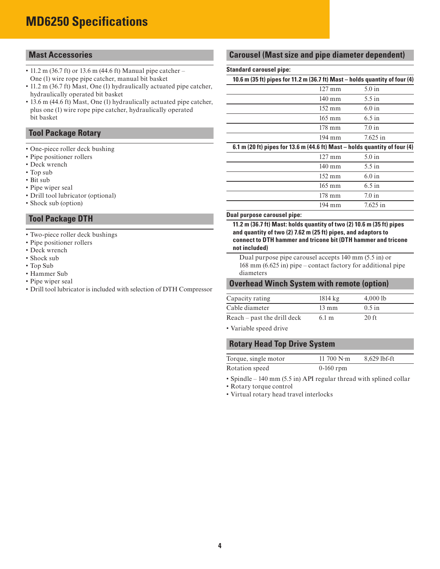## **MD6250 Specifications**

## **Mast Accessories**

- 11.2 m (36.7 ft) or 13.6 m (44.6 ft) Manual pipe catcher One (1) wire rope pipe catcher, manual bit basket
- 11.2 m (36.7 ft) Mast, One (1) hydraulically actuated pipe catcher, hydraulically operated bit basket
- 13.6 m (44.6 ft) Mast, One (1) hydraulically actuated pipe catcher, plus one (1) wire rope pipe catcher, hydraulically operated bit basket

## **Tool Package Rotary**

- One-piece roller deck bushing
- Pipe positioner rollers
- Deck wrench
- Top sub
- Bit sub
- Pipe wiper seal
- Drill tool lubricator (optional)
- Shock sub (option)

## **Tool Package DTH**

- Two-piece roller deck bushings
- Pipe positioner rollers
- Deck wrench
- Shock sub
- Top Sub
- Hammer Sub
- Pipe wiper seal
- Drill tool lubricator is included with selection of DTH Compressor

## **Carousel (Mast size and pipe diameter dependent)**

#### **Standard carousel pipe:**

## **10.6 m (35 ft) pipes for 11.2 m (36.7 ft) Mast – holds quantity of four (4)**

| $127 \text{ mm}$ | $5.0$ in   |
|------------------|------------|
| $140 \text{ mm}$ | $5.5$ in   |
| $152 \text{ mm}$ | 6.0 in     |
| $165 \text{ mm}$ | $6.5$ in   |
| $178 \text{ mm}$ | 7.0 in     |
| $194 \text{ mm}$ | $7.625$ in |

## **6.1 m (20 ft) pipes for 13.6 m (44.6 ft) Mast – holds quantity of four (4)**

| $127 \text{ mm}$ | $5.0$ in   |
|------------------|------------|
| $140 \text{ mm}$ | $5.5$ in   |
| $152 \text{ mm}$ | 6.0 in     |
| $165 \text{ mm}$ | $6.5$ in   |
| $178 \text{ mm}$ | 7.0 in     |
| $194 \text{ mm}$ | $7.625$ in |

#### **Dual purpose carousel pipe:**

**11.2 m (36.7 ft) Mast: holds quantity of two (2) 10.6 m (35 ft) pipes and quantity of two (2) 7.62 m (25 ft) pipes, and adaptors to connect to DTH hammer and tricone bit (DTH hammer and tricone not included)**

Dual purpose pipe carousel accepts 140 mm (5.5 in) or 168 mm (6.625 in) pipe – contact factory for additional pipe diameters

#### **Overhead Winch System with remote (option)**

| Capacity rating               | $1814 \text{ kg}$ | 4,0001b  |  |
|-------------------------------|-------------------|----------|--|
| Cable diameter                | $13 \text{ mm}$   | $0.5$ in |  |
| $Reach - past$ the drill deck | $6.1 \text{ m}$   | $20$ ft  |  |

• Variable speed drive

## **Rotary Head Top Drive System**

| Torque, single motor | 11 700 $N$ ·m | 8,629 lbf-ft |
|----------------------|---------------|--------------|
| Rotation speed       | $0-160$ rpm   |              |

• Spindle – 140 mm (5.5 in) API regular thread with splined collar

• Rotary torque control

• Virtual rotary head travel interlocks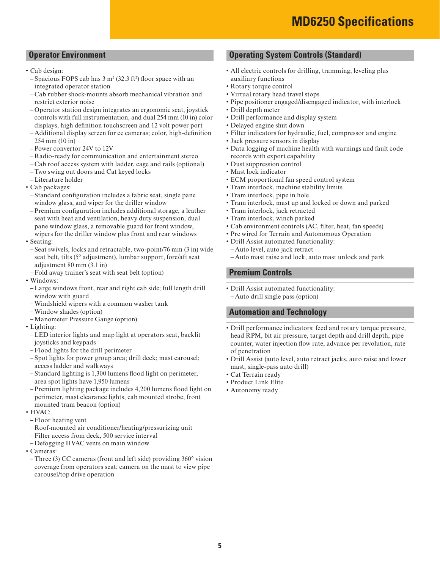## **Operator Environment**

- Cab design:
	- $-$  Spacious FOPS cab has 3 m<sup>2</sup> (32.3 ft<sup>2</sup>) floor space with an integrated operator station
- Cab rubber shock-mounts absorb mechanical vibration and restrict exterior noise
- Operator station design integrates an ergonomic seat, joystick controls with full instrumentation, and dual 254 mm (10 in) color displays, high definition touchscreen and 12 volt power port
- Additional display screen for cc cameras; color, high-definition 254 mm (10 in)
- Power convertor 24V to 12V
- Radio-ready for communication and entertainment stereo
- Cab roof access system with ladder, cage and rails (optional)
- Two swing out doors and Cat keyed locks
- Literature holder
- Cab packages:
- Standard configuration includes a fabric seat, single pane window glass, and wiper for the driller window
- Premium configuration includes additional storage, a leather seat with heat and ventilation, heavy duty suspension, dual pane window glass, a removable guard for front window, wipers for the driller window plus front and rear windows
- Seating:
- Seat swivels, locks and retractable, two-point/76 mm (3 in) wide seat belt, tilts (5° adjustment), lumbar support, fore/aft seat adjustment 80 mm (3.1 in)
- Fold away trainer's seat with seat belt (option)
- Windows:
- Large windows front, rear and right cab side; full length drill window with guard
- Windshield wipers with a common washer tank
- Window shades (option)
- Manometer Pressure Gauge (option)
- Lighting:
- LED interior lights and map light at operators seat, backlit joysticks and keypads
- Flood lights for the drill perimeter
- Spot lights for power group area; drill deck; mast carousel; access ladder and walkways
- Standard lighting is 1,300 lumens flood light on perimeter, area spot lights have 1,950 lumens
- Premium lighting package includes 4,200 lumens flood light on perimeter, mast clearance lights, cab mounted strobe, front mounted tram beacon (option)
- HVAC:
- Floor heating vent
- Roof-mounted air conditioner/heating/pressurizing unit
- Filter access from deck, 500 service interval
- Defogging HVAC vents on main window
- Cameras:
- Three (3) CC cameras (front and left side) providing 360° vision coverage from operators seat; camera on the mast to view pipe carousel/top drive operation

## **Operating System Controls (Standard)**

- All electric controls for drilling, tramming, leveling plus auxiliary functions
- Rotary torque control
- Virtual rotary head travel stops
- Pipe positioner engaged/disengaged indicator, with interlock
- Drill depth meter
- Drill performance and display system
- Delayed engine shut down
- Filter indicators for hydraulic, fuel, compressor and engine
- Jack pressure sensors in display
- Data logging of machine health with warnings and fault code records with export capability
- Dust suppression control
- Mast lock indicator
- ECM proportional fan speed control system
- Tram interlock, machine stability limits
- Tram interlock, pipe in hole
- Tram interlock, mast up and locked or down and parked
- Tram interlock, jack retracted
- Tram interlock, winch parked
- Cab environment controls (AC, filter, heat, fan speeds)
- Pre wired for Terrain and Autonomous Operation
- Drill Assist automated functionality:
- Auto level, auto jack retract
- Auto mast raise and lock, auto mast unlock and park

## **Premium Controls**

• Drill Assist automated functionality: – Auto drill single pass (option)

## **Automation and Technology**

- Drill performance indicators: feed and rotary torque pressure, head RPM, bit air pressure, target depth and drill depth, pipe counter, water injection flow rate, advance per revolution, rate of penetration
- Drill Assist (auto level, auto retract jacks, auto raise and lower mast, single-pass auto drill)
- Cat Terrain ready
- Product Link Elite
- Autonomy ready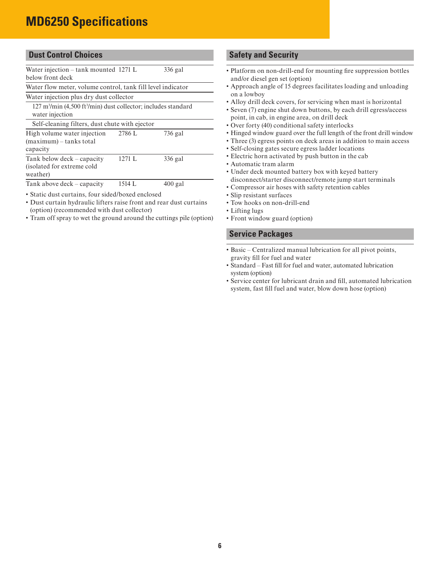## **MD6250 Specifications**

|  | <b>Dust Control Choices</b> |
|--|-----------------------------|
|  |                             |

| Water injection – tank mounted $1271$ L<br>below front deck                                                    |        | 336 gal   |
|----------------------------------------------------------------------------------------------------------------|--------|-----------|
|                                                                                                                |        |           |
| Water flow meter, volume control, tank fill level indicator                                                    |        |           |
| Water injection plus dry dust collector                                                                        |        |           |
| $127 \text{ m}^3/\text{min}$ (4.500 ft <sup>3</sup> /min) dust collector; includes standard<br>water injection |        |           |
| Self-cleaning filters, dust chute with ejector                                                                 |        |           |
| High volume water injection<br>$(maximum)$ – tanks total<br>capacity                                           | 2786 L | 736 gal   |
| Tank below deck – capacity<br>(isolated for extreme cold<br>weather)                                           | 1271 L | 336 gal   |
| Tank above deck – capacity                                                                                     | 1514 L | $400$ gal |

• Static dust curtains, four sided/boxed enclosed

- Dust curtain hydraulic lifters raise front and rear dust curtains (option) (recommended with dust collector)
- Tram off spray to wet the ground around the cuttings pile (option)

## **Safety and Security**

- Platform on non-drill-end for mounting fire suppression bottles and/or diesel gen set (option)
- Approach angle of 15 degrees facilitates loading and unloading on a lowboy
- Alloy drill deck covers, for servicing when mast is horizontal
- Seven (7) engine shut down buttons, by each drill egress/access point, in cab, in engine area, on drill deck
- Over forty (40) conditional safety interlocks
- Hinged window guard over the full length of the front drill window
- Three (3) egress points on deck areas in addition to main access
- Self-closing gates secure egress ladder locations
- Electric horn activated by push button in the cab
- Automatic tram alarm
- Under deck mounted battery box with keyed battery disconnect/starter disconnect/remote jump start terminals
- Compressor air hoses with safety retention cables
- Slip resistant surfaces
- Tow hooks on non-drill-end
- Lifting lugs
- Front window guard (option)

## **Service Packages**

- Basic Centralized manual lubrication for all pivot points, gravity fill for fuel and water
- Standard Fast fill for fuel and water, automated lubrication system (option)
- Service center for lubricant drain and fill, automated lubrication system, fast fill fuel and water, blow down hose (option)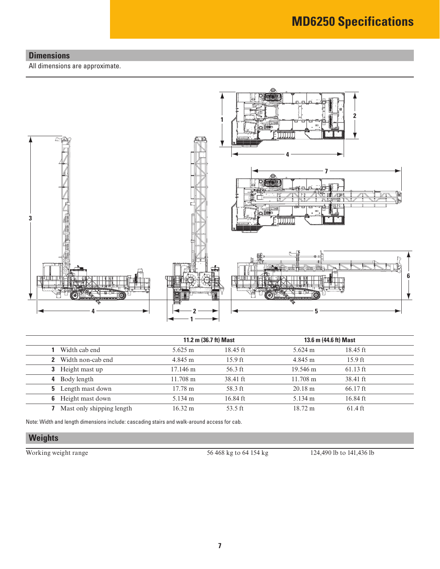## **Dimensions**

All dimensions are approximate.



|                            | 11.2 m (36.7 ft) Mast |            | 13.6 m (44.6 ft) Mast |                   |
|----------------------------|-----------------------|------------|-----------------------|-------------------|
| Width cab end              | $5.625 \text{ m}$     | $18.45$ ft | $5.624 \text{ m}$     | $18.45$ ft        |
| <b>2</b> Width non-cab end | 4.845 m               | $15.9$ ft  | 4.845 m               | $15.9$ ft         |
| <b>3</b> Height mast up    | 17.146 m              | $56.3$ ft  | 19.546 m              | $61.13$ ft        |
| Body length<br>4           | $11.708 \text{ m}$    | 38.41 ft   | $11.708 \text{ m}$    | 38.41 ft          |
| <b>5</b> Length mast down  | $17.78 \text{ m}$     | 58.3 ft    | $20.18 \text{ m}$     | $66.17$ ft        |
| <b>6</b> Height mast down  | 5.134 m               | 16.84 ft   | 5.134 m               | 16.84 ft          |
| Mast only shipping length  | $16.32 \text{ m}$     | 53.5 ft    | $18.72 \text{ m}$     | $61.4 \text{ ft}$ |

Note: Width and length dimensions include: cascading stairs and walk-around access for cab.

## **Weights**

Working weight range 56 468 kg to 64 154 kg 124,490 lb to 141,436 lb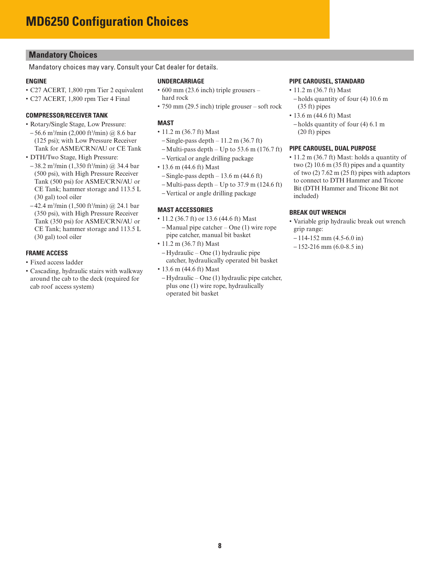## **Mandatory Choices**

Mandatory choices may vary. Consult your Cat dealer for details.

#### **ENGINE**

- C27 ACERT, 1,800 rpm Tier 2 equivalent
- C27 ACERT, 1,800 rpm Tier 4 Final

#### **COMPRESSOR/RECEIVER TANK**

- Rotary/Single Stage, Low Pressure:
- 56.6 m3 /min (2,000 ft3 /min) @ 8.6 bar (125 psi); with Low Pressure Receiver Tank for ASME/CRN/AU or CE Tank
- DTH/Two Stage, High Pressure:
	- 38.2 m3 /min (1,350 ft3 /min) @ 34.4 bar (500 psi), with High Pressure Receiver Tank (500 psi) for ASME/CRN/AU or CE Tank; hammer storage and 113.5 L (30 gal) tool oiler
- 42.4 m3 /min (1,500 ft3 /min) @ 24.1 bar (350 psi), with High Pressure Receiver Tank (350 psi) for ASME/CRN/AU or CE Tank; hammer storage and 113.5 L (30 gal) tool oiler

#### **FRAME ACCESS**

- Fixed access ladder
- Cascading, hydraulic stairs with walkway around the cab to the deck (required for cab roof access system)

#### **UNDERCARRIAGE**

- 600 mm (23.6 inch) triple grousers hard rock
- 750 mm (29.5 inch) triple grouser soft rock

#### **MAST**

- 11.2 m (36.7 ft) Mast
	- $-$  Single-pass depth  $-11.2$  m (36.7 ft)
	- $-$  Multi-pass depth  $-$  Up to 53.6 m (176.7 ft)
- Vertical or angle drilling package
- 13.6 m (44.6 ft) Mast
- $-$ Single-pass depth  $-13.6$  m (44.6 ft)
- Multi-pass depth Up to 37.9 m (124.6 ft)
- Vertical or angle drilling package

#### **MAST ACCESSORIES**

- 11.2 (36.7 ft) or 13.6 (44.6 ft) Mast
- Manual pipe catcher One (1) wire rope pipe catcher, manual bit basket
- 11.2 m (36.7 ft) Mast
- Hydraulic One (1) hydraulic pipe catcher, hydraulically operated bit basket
- 13.6 m (44.6 ft) Mast
- Hydraulic One (1) hydraulic pipe catcher, plus one (1) wire rope, hydraulically operated bit basket

#### **PIPE CAROUSEL, STANDARD**

- 11.2 m (36.7 ft) Mast
- holds quantity of four (4) 10.6 m (35 ft) pipes
- 13.6 m (44.6 ft) Mast
	- holds quantity of four (4) 6.1 m (20 ft) pipes

#### **PIPE CAROUSEL, DUAL PURPOSE**

• 11.2 m (36.7 ft) Mast: holds a quantity of two  $(2)$  10.6 m  $(35 \text{ ft})$  pipes and a quantity of two  $(2)$  7.62 m  $(25 \text{ ft})$  pipes with adaptors to connect to DTH Hammer and Tricone Bit (DTH Hammer and Tricone Bit not included)

#### **BREAK OUT WRENCH**

- Variable grip hydraulic break out wrench grip range:
- $-114-152$  mm  $(4.5-6.0$  in)
- $-152-216$  mm (6.0-8.5 in)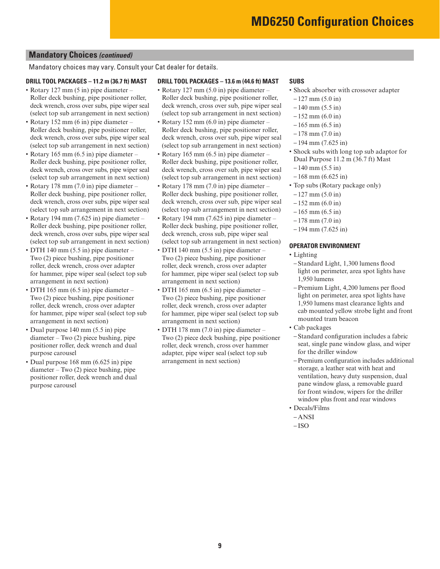## **Mandatory Choices** *(continued)*

Mandatory choices may vary. Consult your Cat dealer for details.

#### **DRILL TOOL PACKAGES – 11.2 m (36.7 ft) MAST**

- Rotary 127 mm (5 in) pipe diameter Roller deck bushing, pipe positioner roller, deck wrench, cross over subs, pipe wiper seal (select top sub arrangement in next section)
- Rotary 152 mm (6 in) pipe diameter Roller deck bushing, pipe positioner roller, deck wrench, cross over subs, pipe wiper seal (select top sub arrangement in next section)
- Rotary 165 mm (6.5 in) pipe diameter Roller deck bushing, pipe positioner roller, deck wrench, cross over subs, pipe wiper seal (select top sub arrangement in next section)
- Rotary 178 mm (7.0 in) pipe diameter Roller deck bushing, pipe positioner roller, deck wrench, cross over subs, pipe wiper seal (select top sub arrangement in next section)
- Rotary 194 mm (7.625 in) pipe diameter Roller deck bushing, pipe positioner roller, deck wrench, cross over subs, pipe wiper seal (select top sub arrangement in next section)
- DTH 140 mm (5.5 in) pipe diameter Two (2) piece bushing, pipe positioner roller, deck wrench, cross over adapter for hammer, pipe wiper seal (select top sub arrangement in next section)
- DTH 165 mm (6.5 in) pipe diameter Two (2) piece bushing, pipe positioner roller, deck wrench, cross over adapter for hammer, pipe wiper seal (select top sub arrangement in next section)
- Dual purpose 140 mm (5.5 in) pipe diameter – Two (2) piece bushing, pipe positioner roller, deck wrench and dual purpose carousel
- Dual purpose 168 mm (6.625 in) pipe diameter – Two (2) piece bushing, pipe positioner roller, deck wrench and dual purpose carousel

#### **DRILL TOOL PACKAGES – 13.6 m (44.6 ft) MAST**

- Rotary 127 mm (5.0 in) pipe diameter Roller deck bushing, pipe positioner roller, deck wrench, cross over sub, pipe wiper seal (select top sub arrangement in next section)
- Rotary 152 mm (6.0 in) pipe diameter Roller deck bushing, pipe positioner roller, deck wrench, cross over sub, pipe wiper seal (select top sub arrangement in next section)
- Rotary 165 mm (6.5 in) pipe diameter Roller deck bushing, pipe positioner roller, deck wrench, cross over sub, pipe wiper seal (select top sub arrangement in next section)
- Rotary 178 mm (7.0 in) pipe diameter Roller deck bushing, pipe positioner roller, deck wrench, cross over sub, pipe wiper seal (select top sub arrangement in next section)
- Rotary 194 mm (7.625 in) pipe diameter Roller deck bushing, pipe positioner roller, deck wrench, cross sub, pipe wiper seal (select top sub arrangement in next section)
- DTH 140 mm (5.5 in) pipe diameter Two (2) piece bushing, pipe positioner roller, deck wrench, cross over adapter for hammer, pipe wiper seal (select top sub arrangement in next section)
- DTH 165 mm (6.5 in) pipe diameter Two (2) piece bushing, pipe positioner roller, deck wrench, cross over adapter for hammer, pipe wiper seal (select top sub arrangement in next section)
- DTH 178 mm (7.0 in) pipe diameter Two (2) piece deck bushing, pipe positioner roller, deck wrench, cross over hammer adapter, pipe wiper seal (select top sub arrangement in next section)

#### **SUBS**

- Shock absorber with crossover adapter
- $-127$  mm  $(5.0 \text{ in})$
- $-140$  mm  $(5.5 \text{ in})$
- $-152$  mm (6.0 in)
- $-165$  mm  $(6.5 \text{ in})$
- $-178$  mm  $(7.0 \text{ in})$
- $-194$  mm (7.625 in)
- Shock subs with long top sub adaptor for Dual Purpose 11.2 m (36.7 ft) Mast
- $-140$  mm  $(5.5 \text{ in})$
- $-168$  mm (6.625 in)
- Top subs (Rotary package only)
- $-127$  mm (5.0 in)
- $-152$  mm (6.0 in)
- $-165$  mm  $(6.5 \text{ in})$
- $-178$  mm  $(7.0 \text{ in})$
- $-194$  mm (7.625 in)

#### **OPERATOR ENVIRONMENT**

- Lighting
- Standard Light, 1,300 lumens flood light on perimeter, area spot lights have 1,950 lumens
- Premium Light, 4,200 lumens per flood light on perimeter, area spot lights have 1,950 lumens mast clearance lights and cab mounted yellow strobe light and front mounted tram beacon
- Cab packages
	- Standard configuration includes a fabric seat, single pane window glass, and wiper for the driller window
	- Premium configuration includes additional storage, a leather seat with heat and ventilation, heavy duty suspension, dual pane window glass, a removable guard for front window, wipers for the driller window plus front and rear windows
- Decals/Films
- ANSI  $-$ ISO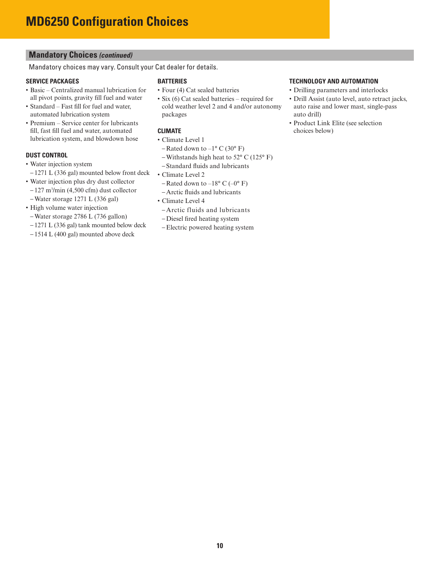## **Mandatory Choices** *(continued)*

Mandatory choices may vary. Consult your Cat dealer for details.

## **SERVICE PACKAGES**

- Basic Centralized manual lubrication for all pivot points, gravity fill fuel and water
- Standard Fast fill for fuel and water, automated lubrication system
- Premium Service center for lubricants fill, fast fill fuel and water, automated lubrication system, and blowdown hose

## **DUST CONTROL**

- Water injection system
- 1271 L (336 gal) mounted below front deck
- Water injection plus dry dust collector
- 127 m3 /min (4,500 cfm) dust collector
- Water storage 1271 L (336 gal)
- High volume water injection – Water storage 2786 L (736 gallon)
- 1271 L (336 gal) tank mounted below deck
- 1514 L (400 gal) mounted above deck

#### **BATTERIES**

- Four (4) Cat sealed batteries
- Six (6) Cat sealed batteries required for cold weather level 2 and 4 and/or autonomy packages

## **CLIMATE**

- Climate Level 1
- Rated down to  $-1$ ° C (30° F)
- Withstands high heat to  $52^{\circ}$  C (125 $^{\circ}$  F)
- Standard fluids and lubricants
- Climate Level 2
- Rated down to –18 $\degree$  C (–0 $\degree$  F)
- Arctic fluids and lubricants
- Climate Level 4
	- Arctic fluids and lubricants
	- Diesel fired heating system
- Electric powered heating system

## **TECHNOLOGY AND AUTOMATION**

- Drilling parameters and interlocks
- Drill Assist (auto level, auto retract jacks, auto raise and lower mast, single-pass auto drill)
- Product Link Elite (see selection choices below)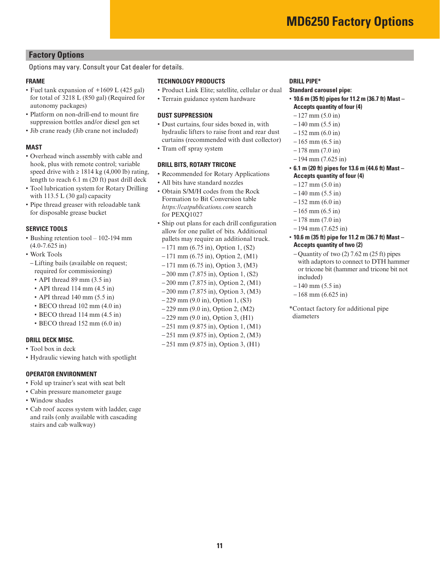## **Factory Options**

Options may vary. Consult your Cat dealer for details.

#### **FRAME**

- Fuel tank expansion of +1609 L (425 gal) for total of 3218 L (850 gal) (Required for autonomy packages)
- Platform on non-drill-end to mount fire suppression bottles and/or diesel gen set
- Jib crane ready (Jib crane not included)

#### **MAST**

- Overhead winch assembly with cable and hook, plus with remote control; variable speed drive with  $\geq 1814$  kg (4,000 lb) rating, length to reach 6.1 m (20 ft) past drill deck
- Tool lubrication system for Rotary Drilling with 113.5 L (30 gal) capacity
- Pipe thread greaser with reloadable tank for disposable grease bucket

#### **SERVICE TOOLS**

- Bushing retention tool 102-194 mm (4.0-7.625 in)
- Work Tools
- Lifting bails (available on request; required for commissioning)
	- API thread 89 mm (3.5 in)
- API thread 114 mm (4.5 in)
- API thread 140 mm (5.5 in)
- BECO thread 102 mm (4.0 in)
- BECO thread 114 mm (4.5 in)
- BECO thread 152 mm (6.0 in)

#### **DRILL DECK MISC.**

- Tool box in deck
- Hydraulic viewing hatch with spotlight

#### **OPERATOR ENVIRONMENT**

- Fold up trainer's seat with seat belt
- Cabin pressure manometer gauge
- Window shades
- Cab roof access system with ladder, cage and rails (only available with cascading stairs and cab walkway)

#### **TECHNOLOGY PRODUCTS**

- Product Link Elite; satellite, cellular or dual
- Terrain guidance system hardware

#### **DUST SUPPRESSION**

- Dust curtains, four sides boxed in, with hydraulic lifters to raise front and rear dust curtains (recommended with dust collector)
- Tram off spray system

#### **DRILL BITS, ROTARY TRICONE**

- Recommended for Rotary Applications
- All bits have standard nozzles
- Obtain S/M/H codes from the Rock Formation to Bit Conversion table *https://catpublications.com* search for PEXQ1027
- Ship out plans for each drill configuration allow for one pallet of bits. Additional pallets may require an additional truck.
- 171 mm (6.75 in), Option 1, (S2)
- 171 mm (6.75 in), Option 2, (M1)
- 171 mm (6.75 in), Option 3, (M3)
- 200 mm (7.875 in), Option 1, (S2)
- 200 mm (7.875 in), Option 2, (M1)
- 200 mm (7.875 in), Option 3, (M3)
- 229 mm (9.0 in), Option 1, (S3)
- 229 mm (9.0 in), Option 2, (M2)
- 229 mm (9.0 in), Option 3, (H1)
- 251 mm (9.875 in), Option 1, (M1)
- 251 mm (9.875 in), Option 2, (M3)
- 251 mm (9.875 in), Option 3, (H1)

#### **DRILL PIPE\***

#### **Standard carousel pipe:**

- **10.6 m (35 ft) pipes for 11.2 m (36.7 ft) Mast Accepts quantity of four (4)**
	- $-127$  mm  $(5.0 \text{ in})$
	- $-140$  mm  $(5.5 \text{ in})$
	- $-152$  mm (6.0 in)
	- $-165$  mm  $(6.5 \text{ in})$
- 178 mm (7.0 in)
- $-194$  mm  $(7.625$  in)
- **6.1 m (20 ft) pipes for 13.6 m (44.6 ft) Mast Accepts quantity of four (4)**
	- $-127$  mm (5.0 in)
	- $-140$  mm  $(5.5 \text{ in})$
	- $-152$  mm (6.0 in)
	- $-165$  mm  $(6.5 \text{ in})$
	- $-178$  mm  $(7.0 \text{ in})$
	- $-194$  mm (7.625 in)
- **10.6 m (35 ft) pipe for 11.2 m (36.7 ft) Mast Accepts quantity of two (2)**
- $-$  Quantity of two (2) 7.62 m (25 ft) pipes with adaptors to connect to DTH hammer or tricone bit (hammer and tricone bit not included)
- $-140$  mm  $(5.5 \text{ in})$
- $-168$  mm (6.625 in)

\*Contact factory for additional pipe diameters